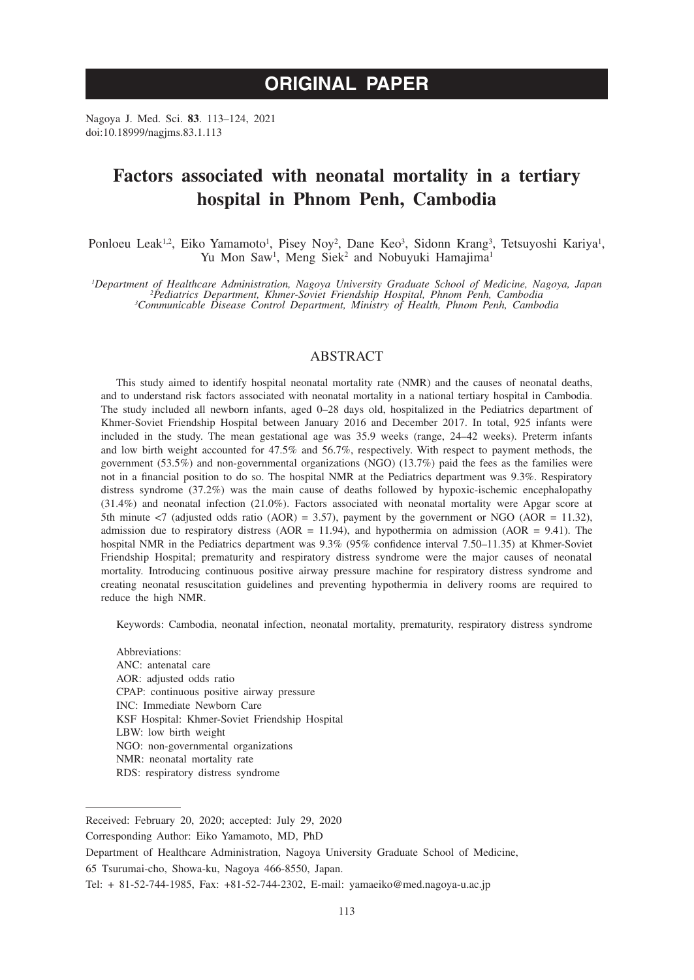Nagoya J. Med. Sci. **83**. 113–124, 2021 doi:10.18999/nagjms.83.1.113

# **Factors associated with neonatal mortality in a tertiary hospital in Phnom Penh, Cambodia**

Ponloeu Leak<sup>1,2</sup>, Eiko Yamamoto<sup>1</sup>, Pisey Noy<sup>2</sup>, Dane Keo<sup>3</sup>, Sidonn Krang<sup>3</sup>, Tetsuyoshi Kariya<sup>1</sup>, Yu Mon Saw<sup>1</sup>, Meng Siek<sup>2</sup> and Nobuyuki Hamajima<sup>1</sup>

Department of Healthcare Administration, Nagoya University Graduate School of Medicine, Nagoya, Japan<sup>2</sup>Pediatrics Department, Khmer-Soviet Friendship Hospital, Phnom Penh, Cambodia<sup>3</sup>Communicable Disease Control Departmen

## ABSTRACT

This study aimed to identify hospital neonatal mortality rate (NMR) and the causes of neonatal deaths, and to understand risk factors associated with neonatal mortality in a national tertiary hospital in Cambodia. The study included all newborn infants, aged 0–28 days old, hospitalized in the Pediatrics department of Khmer-Soviet Friendship Hospital between January 2016 and December 2017. In total, 925 infants were included in the study. The mean gestational age was 35.9 weeks (range, 24–42 weeks). Preterm infants and low birth weight accounted for 47.5% and 56.7%, respectively. With respect to payment methods, the government (53.5%) and non-governmental organizations (NGO) (13.7%) paid the fees as the families were not in a financial position to do so. The hospital NMR at the Pediatrics department was 9.3%. Respiratory distress syndrome (37.2%) was the main cause of deaths followed by hypoxic-ischemic encephalopathy (31.4%) and neonatal infection (21.0%). Factors associated with neonatal mortality were Apgar score at 5th minute  $\langle 7 \rangle$  (adjusted odds ratio (AOR) = 3.57), payment by the government or NGO (AOR = 11.32), admission due to respiratory distress ( $AOR = 11.94$ ), and hypothermia on admission ( $AOR = 9.41$ ). The hospital NMR in the Pediatrics department was 9.3% (95% confidence interval 7.50–11.35) at Khmer-Soviet Friendship Hospital; prematurity and respiratory distress syndrome were the major causes of neonatal mortality. Introducing continuous positive airway pressure machine for respiratory distress syndrome and creating neonatal resuscitation guidelines and preventing hypothermia in delivery rooms are required to reduce the high NMR.

Keywords: Cambodia, neonatal infection, neonatal mortality, prematurity, respiratory distress syndrome

Abbreviations: ANC: antenatal care AOR: adjusted odds ratio CPAP: continuous positive airway pressure INC: Immediate Newborn Care KSF Hospital: Khmer-Soviet Friendship Hospital LBW: low birth weight NGO: non-governmental organizations NMR: neonatal mortality rate RDS: respiratory distress syndrome

Received: February 20, 2020; accepted: July 29, 2020

Corresponding Author: Eiko Yamamoto, MD, PhD

Department of Healthcare Administration, Nagoya University Graduate School of Medicine,

<sup>65</sup> Tsurumai-cho, Showa-ku, Nagoya 466-8550, Japan.

Tel: + 81-52-744-1985, Fax: +81-52-744-2302, E-mail: yamaeiko@med.nagoya-u.ac.jp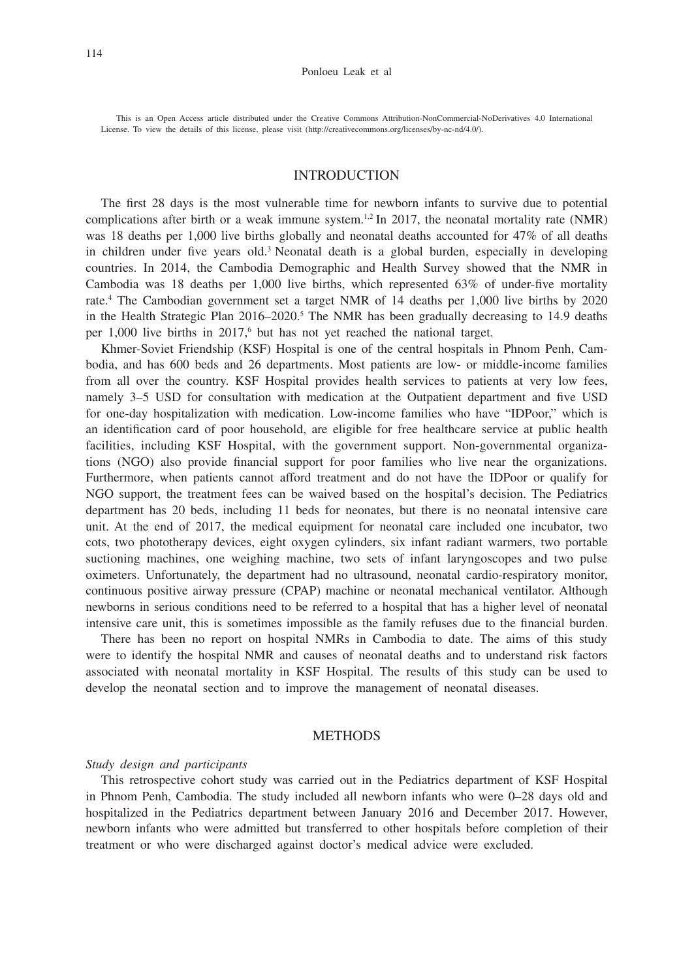This is an Open Access article distributed under the Creative Commons Attribution-NonCommercial-NoDerivatives 4.0 International License. To view the details of this license, please visit (http://creativecommons.org/licenses/by-nc-nd/4.0/).

# INTRODUCTION

The first 28 days is the most vulnerable time for newborn infants to survive due to potential complications after birth or a weak immune system.<sup>1,2</sup> In 2017, the neonatal mortality rate (NMR) was 18 deaths per 1,000 live births globally and neonatal deaths accounted for 47% of all deaths in children under five years old.<sup>3</sup> Neonatal death is a global burden, especially in developing countries. In 2014, the Cambodia Demographic and Health Survey showed that the NMR in Cambodia was 18 deaths per 1,000 live births, which represented 63% of under-five mortality rate.4 The Cambodian government set a target NMR of 14 deaths per 1,000 live births by 2020 in the Health Strategic Plan  $2016-2020$ .<sup>5</sup> The NMR has been gradually decreasing to 14.9 deaths per 1,000 live births in 2017,<sup>6</sup> but has not yet reached the national target.

Khmer-Soviet Friendship (KSF) Hospital is one of the central hospitals in Phnom Penh, Cambodia, and has 600 beds and 26 departments. Most patients are low- or middle-income families from all over the country. KSF Hospital provides health services to patients at very low fees, namely 3–5 USD for consultation with medication at the Outpatient department and five USD for one-day hospitalization with medication. Low-income families who have "IDPoor," which is an identification card of poor household, are eligible for free healthcare service at public health facilities, including KSF Hospital, with the government support. Non-governmental organizations (NGO) also provide financial support for poor families who live near the organizations. Furthermore, when patients cannot afford treatment and do not have the IDPoor or qualify for NGO support, the treatment fees can be waived based on the hospital's decision. The Pediatrics department has 20 beds, including 11 beds for neonates, but there is no neonatal intensive care unit. At the end of 2017, the medical equipment for neonatal care included one incubator, two cots, two phototherapy devices, eight oxygen cylinders, six infant radiant warmers, two portable suctioning machines, one weighing machine, two sets of infant laryngoscopes and two pulse oximeters. Unfortunately, the department had no ultrasound, neonatal cardio-respiratory monitor, continuous positive airway pressure (CPAP) machine or neonatal mechanical ventilator. Although newborns in serious conditions need to be referred to a hospital that has a higher level of neonatal intensive care unit, this is sometimes impossible as the family refuses due to the financial burden.

There has been no report on hospital NMRs in Cambodia to date. The aims of this study were to identify the hospital NMR and causes of neonatal deaths and to understand risk factors associated with neonatal mortality in KSF Hospital. The results of this study can be used to develop the neonatal section and to improve the management of neonatal diseases.

#### **METHODS**

#### *Study design and participants*

This retrospective cohort study was carried out in the Pediatrics department of KSF Hospital in Phnom Penh, Cambodia. The study included all newborn infants who were 0–28 days old and hospitalized in the Pediatrics department between January 2016 and December 2017. However, newborn infants who were admitted but transferred to other hospitals before completion of their treatment or who were discharged against doctor's medical advice were excluded.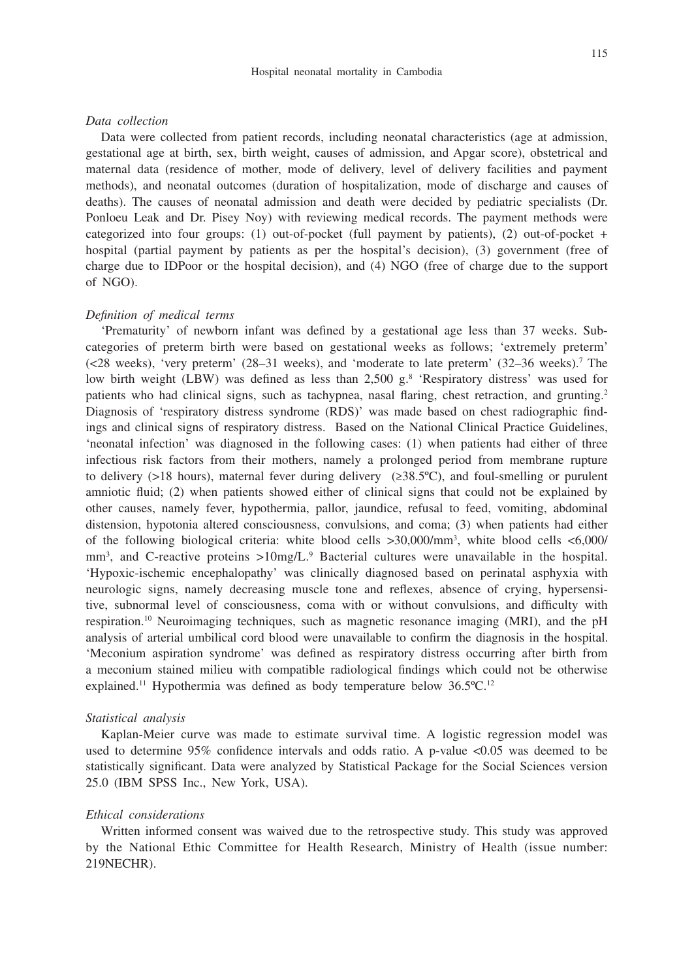#### *Data collection*

Data were collected from patient records, including neonatal characteristics (age at admission, gestational age at birth, sex, birth weight, causes of admission, and Apgar score), obstetrical and maternal data (residence of mother, mode of delivery, level of delivery facilities and payment methods), and neonatal outcomes (duration of hospitalization, mode of discharge and causes of deaths). The causes of neonatal admission and death were decided by pediatric specialists (Dr. Ponloeu Leak and Dr. Pisey Noy) with reviewing medical records. The payment methods were categorized into four groups: (1) out-of-pocket (full payment by patients), (2) out-of-pocket + hospital (partial payment by patients as per the hospital's decision), (3) government (free of charge due to IDPoor or the hospital decision), and (4) NGO (free of charge due to the support of NGO).

### *Definition of medical terms*

'Prematurity' of newborn infant was defined by a gestational age less than 37 weeks. Subcategories of preterm birth were based on gestational weeks as follows; 'extremely preterm' (<28 weeks), 'very preterm' (28–31 weeks), and 'moderate to late preterm' (32–36 weeks).7 The low birth weight (LBW) was defined as less than 2,500 g.<sup>8</sup> 'Respiratory distress' was used for patients who had clinical signs, such as tachypnea, nasal flaring, chest retraction, and grunting.<sup>2</sup> Diagnosis of 'respiratory distress syndrome (RDS)' was made based on chest radiographic findings and clinical signs of respiratory distress. Based on the National Clinical Practice Guidelines, 'neonatal infection' was diagnosed in the following cases: (1) when patients had either of three infectious risk factors from their mothers, namely a prolonged period from membrane rupture to delivery (>18 hours), maternal fever during delivery ( $\geq 38.5^{\circ}$ C), and foul-smelling or purulent amniotic fluid; (2) when patients showed either of clinical signs that could not be explained by other causes, namely fever, hypothermia, pallor, jaundice, refusal to feed, vomiting, abdominal distension, hypotonia altered consciousness, convulsions, and coma; (3) when patients had either of the following biological criteria: white blood cells >30,000/mm3 , white blood cells <6,000/ mm<sup>3</sup>, and C-reactive proteins >10mg/L.<sup>9</sup> Bacterial cultures were unavailable in the hospital. 'Hypoxic-ischemic encephalopathy' was clinically diagnosed based on perinatal asphyxia with neurologic signs, namely decreasing muscle tone and reflexes, absence of crying, hypersensitive, subnormal level of consciousness, coma with or without convulsions, and difficulty with respiration.10 Neuroimaging techniques, such as magnetic resonance imaging (MRI), and the pH analysis of arterial umbilical cord blood were unavailable to confirm the diagnosis in the hospital. 'Meconium aspiration syndrome' was defined as respiratory distress occurring after birth from a meconium stained milieu with compatible radiological findings which could not be otherwise explained.11 Hypothermia was defined as body temperature below 36.5ºC.12

### *Statistical analysis*

Kaplan-Meier curve was made to estimate survival time. A logistic regression model was used to determine 95% confidence intervals and odds ratio. A p-value <0.05 was deemed to be statistically significant. Data were analyzed by Statistical Package for the Social Sciences version 25.0 (IBM SPSS Inc., New York, USA).

## *Ethical considerations*

Written informed consent was waived due to the retrospective study. This study was approved by the National Ethic Committee for Health Research, Ministry of Health (issue number: 219NECHR).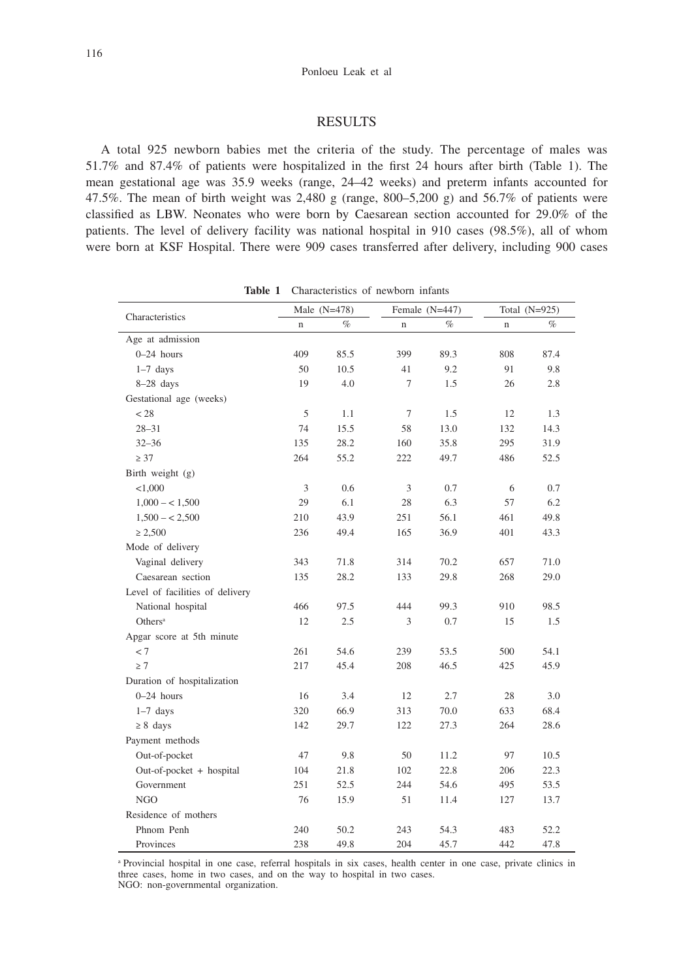### RESULTS

A total 925 newborn babies met the criteria of the study. The percentage of males was 51.7% and 87.4% of patients were hospitalized in the first 24 hours after birth (Table 1). The mean gestational age was 35.9 weeks (range, 24–42 weeks) and preterm infants accounted for 47.5%. The mean of birth weight was  $2,480$  g (range,  $800-5,200$  g) and  $56.7\%$  of patients were classified as LBW. Neonates who were born by Caesarean section accounted for 29.0% of the patients. The level of delivery facility was national hospital in 910 cases (98.5%), all of whom were born at KSF Hospital. There were 909 cases transferred after delivery, including 900 cases

| ravic 1                         |                | Characteristics of hewborn imailes |                  |      |                 |      |  |  |
|---------------------------------|----------------|------------------------------------|------------------|------|-----------------|------|--|--|
| Characteristics                 | Male $(N=478)$ |                                    | Female $(N=447)$ |      | Total $(N=925)$ |      |  |  |
|                                 | $\mathbf n$    | $\%$                               | $\mathbf n$      | $\%$ | $\mathbf n$     | $\%$ |  |  |
| Age at admission                |                |                                    |                  |      |                 |      |  |  |
| $0-24$ hours                    | 409            | 85.5                               | 399              | 89.3 | 808             | 87.4 |  |  |
| $1-7$ days                      | 50             | 10.5                               | 41               | 9.2  | 91              | 9.8  |  |  |
| $8-28$ days                     | 19             | 4.0                                | 7                | 1.5  | 26              | 2.8  |  |  |
| Gestational age (weeks)         |                |                                    |                  |      |                 |      |  |  |
| < 28                            | 5              | 1.1                                | 7                | 1.5  | 12              | 1.3  |  |  |
| $28 - 31$                       | 74             | 15.5                               | 58               | 13.0 | 132             | 14.3 |  |  |
| $32 - 36$                       | 135            | 28.2                               | 160              | 35.8 | 295             | 31.9 |  |  |
| $\geq 37$                       | 264            | 55.2                               | 222              | 49.7 | 486             | 52.5 |  |  |
| Birth weight (g)                |                |                                    |                  |      |                 |      |  |  |
| < 1,000                         | 3              | 0.6                                | 3                | 0.7  | 6               | 0.7  |  |  |
| $1,000 - 1,500$                 | 29             | 6.1                                | 28               | 6.3  | 57              | 6.2  |  |  |
| $1,500 - 2,500$                 | 210            | 43.9                               | 251              | 56.1 | 461             | 49.8 |  |  |
| $\geq 2,500$                    | 236            | 49.4                               | 165              | 36.9 | 401             | 43.3 |  |  |
| Mode of delivery                |                |                                    |                  |      |                 |      |  |  |
| Vaginal delivery                | 343            | 71.8                               | 314              | 70.2 | 657             | 71.0 |  |  |
| Caesarean section               | 135            | 28.2                               | 133              | 29.8 | 268             | 29.0 |  |  |
| Level of facilities of delivery |                |                                    |                  |      |                 |      |  |  |
| National hospital               | 466            | 97.5                               | 444              | 99.3 | 910             | 98.5 |  |  |
| Others <sup>a</sup>             | 12             | 2.5                                | 3                | 0.7  | 15              | 1.5  |  |  |
| Apgar score at 5th minute       |                |                                    |                  |      |                 |      |  |  |
| $< 7\,$                         | 261            | 54.6                               | 239              | 53.5 | 500             | 54.1 |  |  |
| $\geq 7$                        | 217            | 45.4                               | 208              | 46.5 | 425             | 45.9 |  |  |
| Duration of hospitalization     |                |                                    |                  |      |                 |      |  |  |
| $0-24$ hours                    | 16             | 3.4                                | 12               | 2.7  | 28              | 3.0  |  |  |
| $1-7$ days                      | 320            | 66.9                               | 313              | 70.0 | 633             | 68.4 |  |  |
| $\geq 8$ days                   | 142            | 29.7                               | 122              | 27.3 | 264             | 28.6 |  |  |
| Payment methods                 |                |                                    |                  |      |                 |      |  |  |
| Out-of-pocket                   | 47             | 9.8                                | 50               | 11.2 | 97              | 10.5 |  |  |
| Out-of-pocket + hospital        | 104            | 21.8                               | 102              | 22.8 | 206             | 22.3 |  |  |
| Government                      | 251            | 52.5                               | 244              | 54.6 | 495             | 53.5 |  |  |
| NGO                             | 76             | 15.9                               | 51               | 11.4 | 127             | 13.7 |  |  |
| Residence of mothers            |                |                                    |                  |      |                 |      |  |  |
| Phnom Penh                      | 240            | 50.2                               | 243              | 54.3 | 483             | 52.2 |  |  |
| Provinces                       | 238            | 49.8                               | 204              | 45.7 | 442             | 47.8 |  |  |

**Table 1** Characteristics of newborn infants

a Provincial hospital in one case, referral hospitals in six cases, health center in one case, private clinics in three cases, home in two cases, and on the way to hospital in two cases. NGO: non-governmental organization.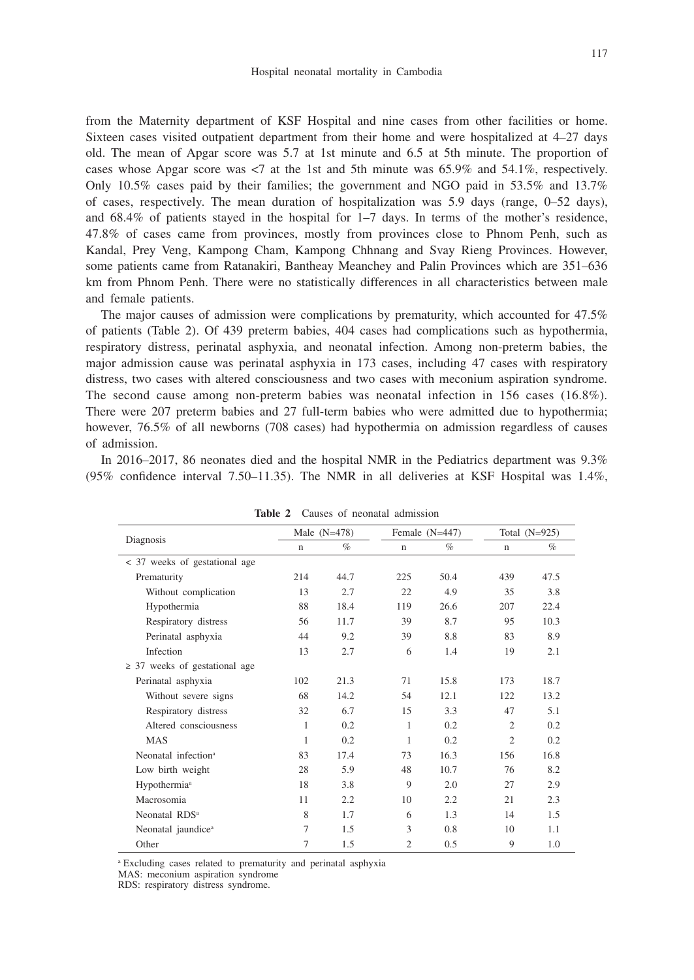from the Maternity department of KSF Hospital and nine cases from other facilities or home. Sixteen cases visited outpatient department from their home and were hospitalized at 4–27 days old. The mean of Apgar score was 5.7 at 1st minute and 6.5 at 5th minute. The proportion of cases whose Apgar score was <7 at the 1st and 5th minute was 65.9% and 54.1%, respectively. Only 10.5% cases paid by their families; the government and NGO paid in 53.5% and 13.7% of cases, respectively. The mean duration of hospitalization was 5.9 days (range, 0–52 days), and 68.4% of patients stayed in the hospital for 1–7 days. In terms of the mother's residence, 47.8% of cases came from provinces, mostly from provinces close to Phnom Penh, such as Kandal, Prey Veng, Kampong Cham, Kampong Chhnang and Svay Rieng Provinces. However, some patients came from Ratanakiri, Bantheay Meanchey and Palin Provinces which are 351–636 km from Phnom Penh. There were no statistically differences in all characteristics between male and female patients.

The major causes of admission were complications by prematurity, which accounted for 47.5% of patients (Table 2). Of 439 preterm babies, 404 cases had complications such as hypothermia, respiratory distress, perinatal asphyxia, and neonatal infection. Among non-preterm babies, the major admission cause was perinatal asphyxia in 173 cases, including 47 cases with respiratory distress, two cases with altered consciousness and two cases with meconium aspiration syndrome. The second cause among non-preterm babies was neonatal infection in 156 cases (16.8%). There were 207 preterm babies and 27 full-term babies who were admitted due to hypothermia; however, 76.5% of all newborns (708 cases) had hypothermia on admission regardless of causes of admission.

In 2016–2017, 86 neonates died and the hospital NMR in the Pediatrics department was 9.3% (95% confidence interval 7.50–11.35). The NMR in all deliveries at KSF Hospital was 1.4%,

|                                    | Male $(N=478)$ |      | Female $(N=447)$ |      | Total $(N=925)$ |      |
|------------------------------------|----------------|------|------------------|------|-----------------|------|
| Diagnosis                          | $\mathbf n$    | $\%$ | $\mathbf n$      | $\%$ | $\mathbf n$     | $\%$ |
| < 37 weeks of gestational age      |                |      |                  |      |                 |      |
| Prematurity                        | 214            | 44.7 | 225              | 50.4 | 439             | 47.5 |
| Without complication               | 13             | 2.7  | 22               | 4.9  | 35              | 3.8  |
| Hypothermia                        | 88             | 18.4 | 119              | 26.6 | 207             | 22.4 |
| Respiratory distress               | 56             | 11.7 | 39               | 8.7  | 95              | 10.3 |
| Perinatal asphyxia                 | 44             | 9.2  | 39               | 8.8  | 83              | 8.9  |
| Infection                          | 13             | 2.7  | 6                | 1.4  | 19              | 2.1  |
| $\geq$ 37 weeks of gestational age |                |      |                  |      |                 |      |
| Perinatal asphyxia                 | 102            | 21.3 | 71               | 15.8 | 173             | 18.7 |
| Without severe signs               | 68             | 14.2 | 54               | 12.1 | 122             | 13.2 |
| Respiratory distress               | 32             | 6.7  | 15               | 3.3  | 47              | 5.1  |
| Altered consciousness              | 1              | 0.2  | 1                | 0.2  | $\mathfrak{2}$  | 0.2  |
| <b>MAS</b>                         | 1              | 0.2  | 1                | 0.2  | $\overline{2}$  | 0.2  |
| Neonatal infection <sup>a</sup>    | 83             | 17.4 | 73               | 16.3 | 156             | 16.8 |
| Low birth weight                   | 28             | 5.9  | 48               | 10.7 | 76              | 8.2  |
| Hypothermia <sup>a</sup>           | 18             | 3.8  | 9                | 2.0  | 27              | 2.9  |
| Macrosomia                         | 11             | 2.2  | 10               | 2.2  | 21              | 2.3  |
| Neonatal RDS <sup>a</sup>          | 8              | 1.7  | 6                | 1.3  | 14              | 1.5  |
| Neonatal jaundice <sup>a</sup>     | 7              | 1.5  | 3                | 0.8  | 10              | 1.1  |
| Other                              | 7              | 1.5  | $\overline{2}$   | 0.5  | 9               | 1.0  |

**Table 2** Causes of neonatal admission

a Excluding cases related to prematurity and perinatal asphyxia

MAS: meconium aspiration syndrome

RDS: respiratory distress syndrome.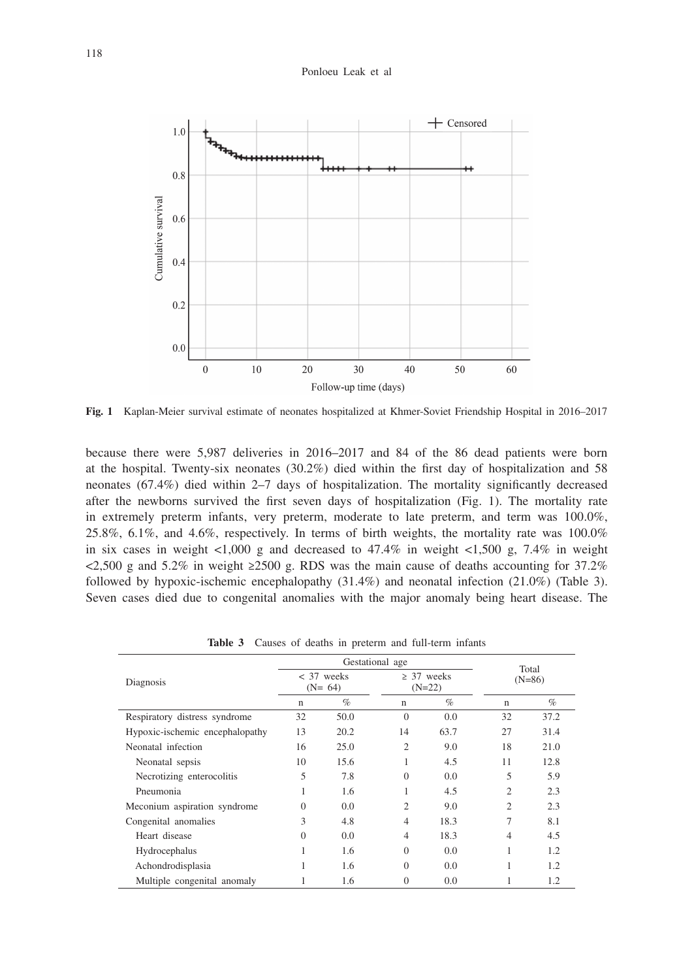#### Ponloeu Leak et al



**Fig. 1** Kaplan-Meier survival estimate of neonates hospitalized at Khmer-Soviet Friendship Hospital in 2016–2017

because there were 5,987 deliveries in 2016–2017 and 84 of the 86 dead patients were born at the hospital. Twenty-six neonates (30.2%) died within the first day of hospitalization and 58 neonates (67.4%) died within 2–7 days of hospitalization. The mortality significantly decreased after the newborns survived the first seven days of hospitalization (Fig. 1). The mortality rate in extremely preterm infants, very preterm, moderate to late preterm, and term was 100.0%, 25.8%, 6.1%, and 4.6%, respectively. In terms of birth weights, the mortality rate was 100.0% in six cases in weight  $\langle 1,000 \rangle$  g and decreased to 47.4% in weight  $\langle 1,500 \rangle$  g, 7.4% in weight  $\langle 2,500 \text{ g} \rangle$  and  $5.2\%$  in weight  $\geq 2500 \text{ g}$ . RDS was the main cause of deaths accounting for 37.2% followed by hypoxic-ischemic encephalopathy (31.4%) and neonatal infection (21.0%) (Table 3). Seven cases died due to congenital anomalies with the major anomaly being heart disease. The

|                                 | Gestational age          |      |                             |      | Total          |      |
|---------------------------------|--------------------------|------|-----------------------------|------|----------------|------|
| Diagnosis                       | $<$ 37 weeks<br>$(N=64)$ |      | $\geq$ 37 weeks<br>$(N=22)$ |      | $(N=86)$       |      |
|                                 | n                        | $\%$ | $\mathbf n$                 | $\%$ | $\mathbf n$    | $\%$ |
| Respiratory distress syndrome   | 32                       | 50.0 | $\Omega$                    | 0.0  | 32             | 37.2 |
| Hypoxic-ischemic encephalopathy | 13                       | 20.2 | 14                          | 63.7 | 27             | 31.4 |
| Neonatal infection              | 16                       | 25.0 | 2                           | 9.0  | 18             | 21.0 |
| Neonatal sepsis                 | 10                       | 15.6 |                             | 4.5  | 11             | 12.8 |
| Necrotizing enterocolitis       | 5                        | 7.8  | $\Omega$                    | 0.0  | 5              | 5.9  |
| Pneumonia                       | 1                        | 1.6  |                             | 4.5  | $\overline{c}$ | 2.3  |
| Meconium aspiration syndrome    | $\Omega$                 | 0.0  | 2                           | 9.0  | $\overline{c}$ | 2.3  |
| Congenital anomalies            | 3                        | 4.8  | $\overline{4}$              | 18.3 | 7              | 8.1  |
| Heart disease                   | $\Omega$                 | 0.0  | $\overline{4}$              | 18.3 | $\overline{4}$ | 4.5  |
| Hydrocephalus                   |                          | 1.6  | $\Omega$                    | 0.0  |                | 1.2  |
| Achondrodisplasia               |                          | 1.6  | $\Omega$                    | 0.0  |                | 1.2  |
| Multiple congenital anomaly     |                          | 1.6  | $\Omega$                    | 0.0  |                | 1.2  |

**Table 3** Causes of deaths in preterm and full-term infants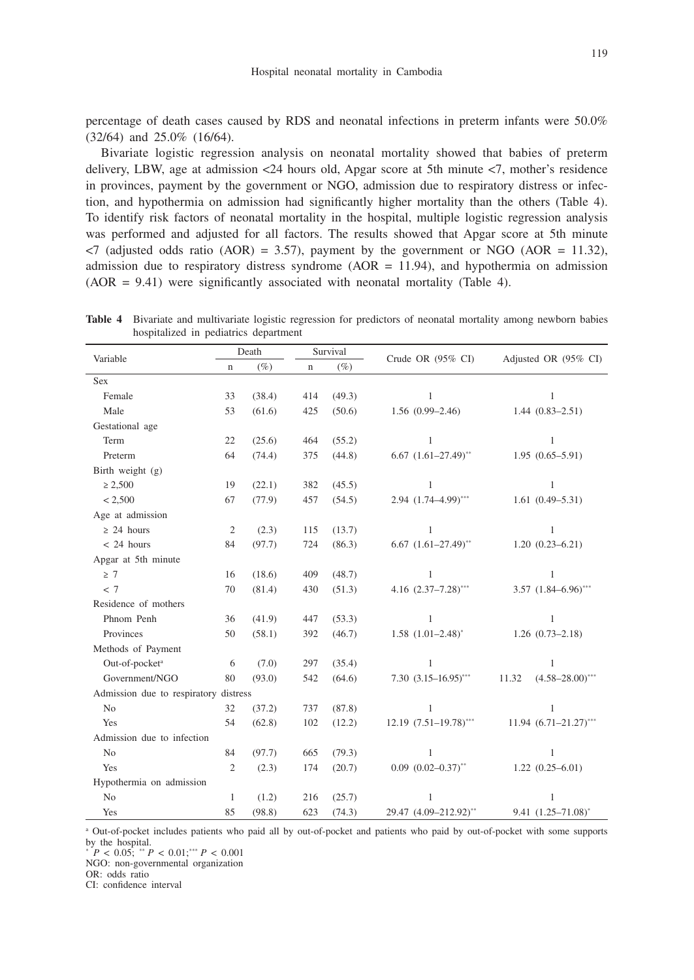119

percentage of death cases caused by RDS and neonatal infections in preterm infants were 50.0% (32/64) and 25.0% (16/64).

Bivariate logistic regression analysis on neonatal mortality showed that babies of preterm delivery, LBW, age at admission <24 hours old, Apgar score at 5th minute <7, mother's residence in provinces, payment by the government or NGO, admission due to respiratory distress or infection, and hypothermia on admission had significantly higher mortality than the others (Table 4). To identify risk factors of neonatal mortality in the hospital, multiple logistic regression analysis was performed and adjusted for all factors. The results showed that Apgar score at 5th minute  $\langle 7 \rangle$  (adjusted odds ratio (AOR) = 3.57), payment by the government or NGO (AOR = 11.32), admission due to respiratory distress syndrome ( $AOR = 11.94$ ), and hypothermia on admission  $(AOR = 9.41)$  were significantly associated with neonatal mortality (Table 4).

|                                       | Death          |        |     | Survival |                              |                                 |  |
|---------------------------------------|----------------|--------|-----|----------|------------------------------|---------------------------------|--|
| Variable                              | $\mathbf n$    | $(\%)$ | n   | $(\%)$   | Crude OR $(95\% \text{ CI})$ | Adjusted OR (95% CI)            |  |
| Sex                                   |                |        |     |          |                              |                                 |  |
| Female                                | 33             | (38.4) | 414 | (49.3)   | $\mathbf{1}$                 | $\mathbf{1}$                    |  |
| Male                                  | 53             | (61.6) | 425 | (50.6)   | $1.56(0.99-2.46)$            | $1.44(0.83 - 2.51)$             |  |
| Gestational age                       |                |        |     |          |                              |                                 |  |
| Term                                  | 22             | (25.6) | 464 | (55.2)   | $\mathbf{1}$                 | $\mathbf{1}$                    |  |
| Preterm                               | 64             | (74.4) | 375 | (44.8)   | $6.67$ $(1.61-27.49)$ **     | $1.95(0.65 - 5.91)$             |  |
| Birth weight $(g)$                    |                |        |     |          |                              |                                 |  |
| $\geq 2,500$                          | 19             | (22.1) | 382 | (45.5)   | $\mathbf{1}$                 | $\mathbf{1}$                    |  |
| < 2,500                               | 67             | (77.9) | 457 | (54.5)   | $2.94$ $(1.74 - 4.99)$ ***   | $1.61(0.49 - 5.31)$             |  |
| Age at admission                      |                |        |     |          |                              |                                 |  |
| $\geq$ 24 hours                       | $\mathfrak{2}$ | (2.3)  | 115 | (13.7)   | $\mathbf{1}$                 | 1                               |  |
| $< 24$ hours                          | 84             | (97.7) | 724 | (86.3)   | $6.67$ $(1.61-27.49)$ **     | $1.20(0.23 - 6.21)$             |  |
| Apgar at 5th minute                   |                |        |     |          |                              |                                 |  |
| $\geq 7$                              | 16             | (18.6) | 409 | (48.7)   | $\mathbf{1}$                 | $\mathbf{1}$                    |  |
| < 7                                   | 70             | (81.4) | 430 | (51.3)   | 4.16 $(2.37-7.28)$ ***       | $3.57$ $(1.84 - 6.96)$ ***      |  |
| Residence of mothers                  |                |        |     |          |                              |                                 |  |
| Phnom Penh                            | 36             | (41.9) | 447 | (53.3)   | 1                            | $\mathbf{1}$                    |  |
| Provinces                             | 50             | (58.1) | 392 | (46.7)   | $1.58$ $(1.01-2.48)^{*}$     | $1.26(0.73-2.18)$               |  |
| Methods of Payment                    |                |        |     |          |                              |                                 |  |
| Out-of-pocket <sup>a</sup>            | 6              | (7.0)  | 297 | (35.4)   | $\mathbf{1}$                 | $\mathbf{1}$                    |  |
| Government/NGO                        | 80             | (93.0) | 542 | (64.6)   | $7.30(3.15 - 16.95)$ ***     | 11.32<br>$(4.58 - 28.00)^{***}$ |  |
| Admission due to respiratory distress |                |        |     |          |                              |                                 |  |
| N <sub>o</sub>                        | 32             | (37.2) | 737 | (87.8)   | $\mathbf{1}$                 | 1                               |  |
| Yes                                   | 54             | (62.8) | 102 | (12.2)   | $12.19 (7.51 - 19.78)$ ***   | $11.94 (6.71 - 21.27)$ ***      |  |
| Admission due to infection            |                |        |     |          |                              |                                 |  |
| No                                    | 84             | (97.7) | 665 | (79.3)   | $\mathbf{1}$                 | $\mathbf{1}$                    |  |
| <b>Yes</b>                            | $\overline{2}$ | (2.3)  | 174 | (20.7)   | $0.09$ $(0.02 - 0.37)$ **    | $1.22(0.25 - 6.01)$             |  |
| Hypothermia on admission              |                |        |     |          |                              |                                 |  |
| N <sub>o</sub>                        | 1              | (1.2)  | 216 | (25.7)   | 1                            | $\mathbf{1}$                    |  |
| Yes                                   | 85             | (98.8) | 623 | (74.3)   | 29.47 (4.09-212.92)**        | $9.41$ $(1.25 - 71.08)^*$       |  |

**Table 4** Bivariate and multivariate logistic regression for predictors of neonatal mortality among newborn babies hospitalized in pediatrics department

a Out-of-pocket includes patients who paid all by out-of-pocket and patients who paid by out-of-pocket with some supports by the hospital.

 $\sum_{i=1}^{N} P \le 0.05$ ;  $\sum_{i=1}^{N} P \le 0.01$ ;  $\sum_{i=1}^{N} P \le 0.001$ 

NGO: non-governmental organization

OR: odds ratio

CI: confidence interval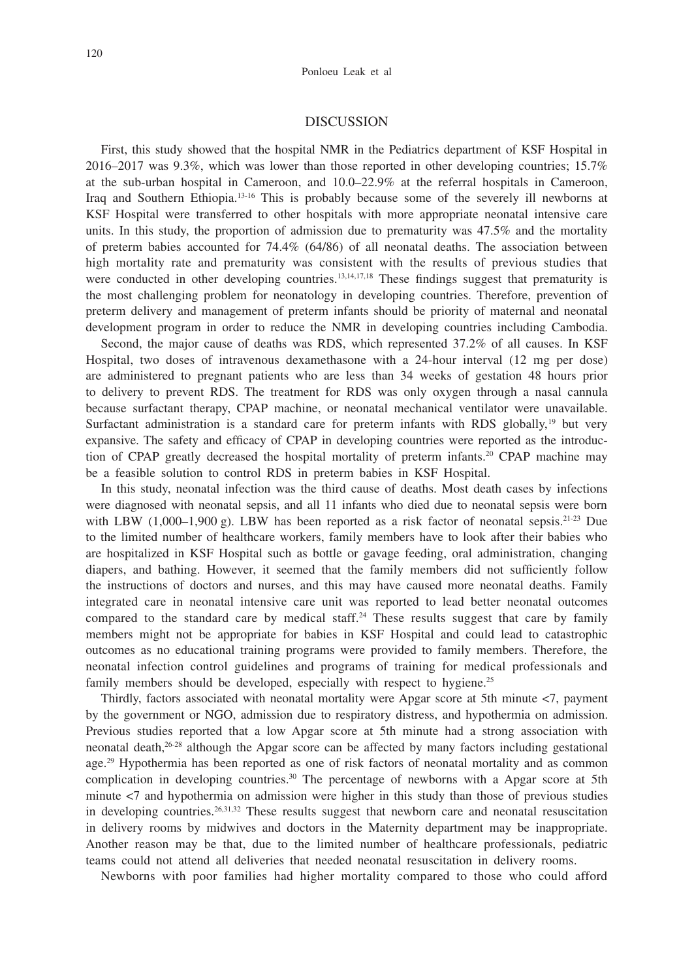#### DISCUSSION

First, this study showed that the hospital NMR in the Pediatrics department of KSF Hospital in 2016–2017 was 9.3%, which was lower than those reported in other developing countries; 15.7% at the sub-urban hospital in Cameroon, and 10.0–22.9% at the referral hospitals in Cameroon, Iraq and Southern Ethiopia.13-16 This is probably because some of the severely ill newborns at KSF Hospital were transferred to other hospitals with more appropriate neonatal intensive care units. In this study, the proportion of admission due to prematurity was 47.5% and the mortality of preterm babies accounted for 74.4% (64/86) of all neonatal deaths. The association between high mortality rate and prematurity was consistent with the results of previous studies that were conducted in other developing countries.<sup>13,14,17,18</sup> These findings suggest that prematurity is the most challenging problem for neonatology in developing countries. Therefore, prevention of preterm delivery and management of preterm infants should be priority of maternal and neonatal development program in order to reduce the NMR in developing countries including Cambodia.

Second, the major cause of deaths was RDS, which represented 37.2% of all causes. In KSF Hospital, two doses of intravenous dexamethasone with a 24-hour interval (12 mg per dose) are administered to pregnant patients who are less than 34 weeks of gestation 48 hours prior to delivery to prevent RDS. The treatment for RDS was only oxygen through a nasal cannula because surfactant therapy, CPAP machine, or neonatal mechanical ventilator were unavailable. Surfactant administration is a standard care for preterm infants with RDS globally,<sup>19</sup> but very expansive. The safety and efficacy of CPAP in developing countries were reported as the introduction of CPAP greatly decreased the hospital mortality of preterm infants.<sup>20</sup> CPAP machine may be a feasible solution to control RDS in preterm babies in KSF Hospital.

In this study, neonatal infection was the third cause of deaths. Most death cases by infections were diagnosed with neonatal sepsis, and all 11 infants who died due to neonatal sepsis were born with LBW  $(1,000-1,900 \text{ g})$ . LBW has been reported as a risk factor of neonatal sepsis.<sup>21-23</sup> Due to the limited number of healthcare workers, family members have to look after their babies who are hospitalized in KSF Hospital such as bottle or gavage feeding, oral administration, changing diapers, and bathing. However, it seemed that the family members did not sufficiently follow the instructions of doctors and nurses, and this may have caused more neonatal deaths. Family integrated care in neonatal intensive care unit was reported to lead better neonatal outcomes compared to the standard care by medical staff.<sup>24</sup> These results suggest that care by family members might not be appropriate for babies in KSF Hospital and could lead to catastrophic outcomes as no educational training programs were provided to family members. Therefore, the neonatal infection control guidelines and programs of training for medical professionals and family members should be developed, especially with respect to hygiene.<sup>25</sup>

Thirdly, factors associated with neonatal mortality were Apgar score at 5th minute <7, payment by the government or NGO, admission due to respiratory distress, and hypothermia on admission. Previous studies reported that a low Apgar score at 5th minute had a strong association with neonatal death,26-28 although the Apgar score can be affected by many factors including gestational age.29 Hypothermia has been reported as one of risk factors of neonatal mortality and as common complication in developing countries.<sup>30</sup> The percentage of newborns with a Apgar score at 5th minute <7 and hypothermia on admission were higher in this study than those of previous studies in developing countries.<sup>26,31,32</sup> These results suggest that newborn care and neonatal resuscitation in delivery rooms by midwives and doctors in the Maternity department may be inappropriate. Another reason may be that, due to the limited number of healthcare professionals, pediatric teams could not attend all deliveries that needed neonatal resuscitation in delivery rooms.

Newborns with poor families had higher mortality compared to those who could afford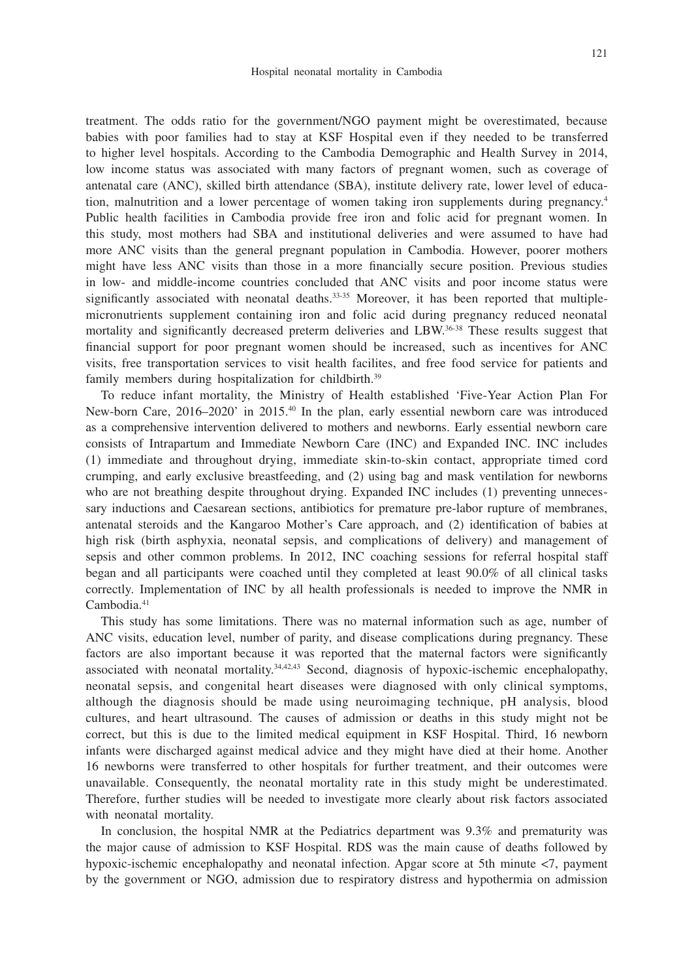121

treatment. The odds ratio for the government/NGO payment might be overestimated, because babies with poor families had to stay at KSF Hospital even if they needed to be transferred to higher level hospitals. According to the Cambodia Demographic and Health Survey in 2014, low income status was associated with many factors of pregnant women, such as coverage of antenatal care (ANC), skilled birth attendance (SBA), institute delivery rate, lower level of education, malnutrition and a lower percentage of women taking iron supplements during pregnancy.4 Public health facilities in Cambodia provide free iron and folic acid for pregnant women. In this study, most mothers had SBA and institutional deliveries and were assumed to have had more ANC visits than the general pregnant population in Cambodia. However, poorer mothers might have less ANC visits than those in a more financially secure position. Previous studies in low- and middle-income countries concluded that ANC visits and poor income status were significantly associated with neonatal deaths.<sup>33-35</sup> Moreover, it has been reported that multiplemicronutrients supplement containing iron and folic acid during pregnancy reduced neonatal mortality and significantly decreased preterm deliveries and LBW.36-38 These results suggest that financial support for poor pregnant women should be increased, such as incentives for ANC visits, free transportation services to visit health facilites, and free food service for patients and family members during hospitalization for childbirth.<sup>39</sup>

To reduce infant mortality, the Ministry of Health established 'Five-Year Action Plan For New-born Care, 2016–2020' in 2015.40 In the plan, early essential newborn care was introduced as a comprehensive intervention delivered to mothers and newborns. Early essential newborn care consists of Intrapartum and Immediate Newborn Care (INC) and Expanded INC. INC includes (1) immediate and throughout drying, immediate skin-to-skin contact, appropriate timed cord crumping, and early exclusive breastfeeding, and (2) using bag and mask ventilation for newborns who are not breathing despite throughout drying. Expanded INC includes (1) preventing unnecessary inductions and Caesarean sections, antibiotics for premature pre-labor rupture of membranes, antenatal steroids and the Kangaroo Mother's Care approach, and (2) identification of babies at high risk (birth asphyxia, neonatal sepsis, and complications of delivery) and management of sepsis and other common problems. In 2012, INC coaching sessions for referral hospital staff began and all participants were coached until they completed at least 90.0% of all clinical tasks correctly. Implementation of INC by all health professionals is needed to improve the NMR in Cambodia.<sup>41</sup>

This study has some limitations. There was no maternal information such as age, number of ANC visits, education level, number of parity, and disease complications during pregnancy. These factors are also important because it was reported that the maternal factors were significantly associated with neonatal mortality.34,42,43 Second, diagnosis of hypoxic-ischemic encephalopathy, neonatal sepsis, and congenital heart diseases were diagnosed with only clinical symptoms, although the diagnosis should be made using neuroimaging technique, pH analysis, blood cultures, and heart ultrasound. The causes of admission or deaths in this study might not be correct, but this is due to the limited medical equipment in KSF Hospital. Third, 16 newborn infants were discharged against medical advice and they might have died at their home. Another 16 newborns were transferred to other hospitals for further treatment, and their outcomes were unavailable. Consequently, the neonatal mortality rate in this study might be underestimated. Therefore, further studies will be needed to investigate more clearly about risk factors associated with neonatal mortality.

In conclusion, the hospital NMR at the Pediatrics department was 9.3% and prematurity was the major cause of admission to KSF Hospital. RDS was the main cause of deaths followed by hypoxic-ischemic encephalopathy and neonatal infection. Apgar score at 5th minute <7, payment by the government or NGO, admission due to respiratory distress and hypothermia on admission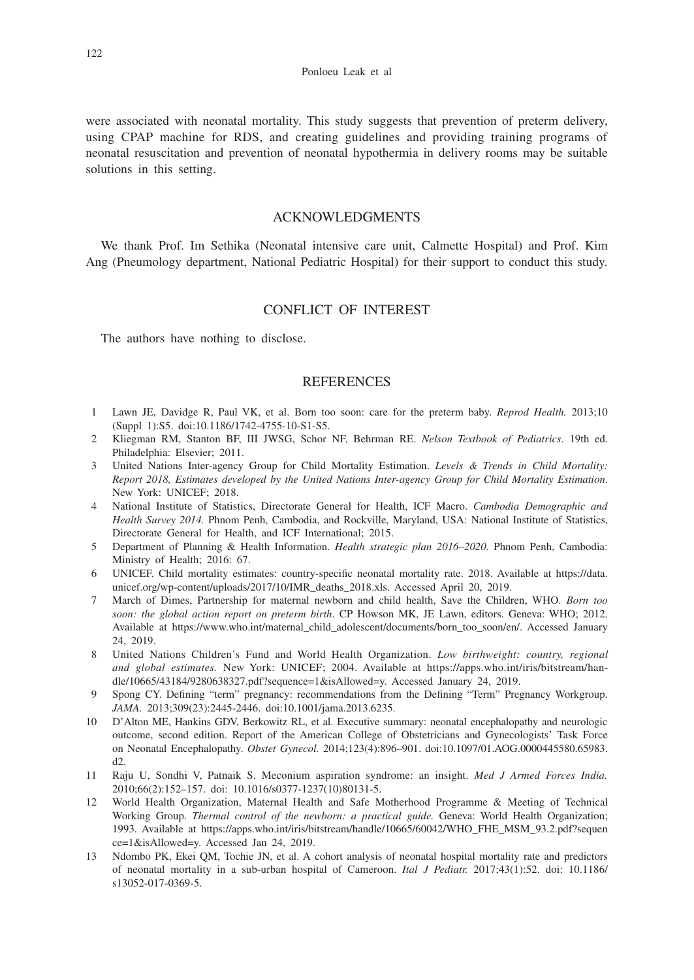were associated with neonatal mortality. This study suggests that prevention of preterm delivery, using CPAP machine for RDS, and creating guidelines and providing training programs of neonatal resuscitation and prevention of neonatal hypothermia in delivery rooms may be suitable solutions in this setting.

## ACKNOWLEDGMENTS

We thank Prof. Im Sethika (Neonatal intensive care unit, Calmette Hospital) and Prof. Kim Ang (Pneumology department, National Pediatric Hospital) for their support to conduct this study.

## CONFLICT OF INTEREST

The authors have nothing to disclose.

#### **REFERENCES**

- 1 Lawn JE, Davidge R, Paul VK, et al. Born too soon: care for the preterm baby. *Reprod Health.* 2013;10 (Suppl 1):S5. doi:10.1186/1742-4755-10-S1-S5.
- 2 Kliegman RM, Stanton BF, III JWSG, Schor NF, Behrman RE. *Nelson Textbook of Pediatrics*. 19th ed. Philadelphia: Elsevier; 2011.
- 3 United Nations Inter-agency Group for Child Mortality Estimation. *Levels & Trends in Child Mortality: Report 2018, Estimates developed by the United Nations Inter-agency Group for Child Mortality Estimation*. New York: UNICEF; 2018.
- 4 National Institute of Statistics, Directorate General for Health, ICF Macro. *Cambodia Demographic and Health Survey 2014.* Phnom Penh, Cambodia, and Rockville, Maryland, USA: National Institute of Statistics, Directorate General for Health, and ICF International; 2015.
- 5 Department of Planning & Health Information. *Health strategic plan 2016–2020.* Phnom Penh, Cambodia: Ministry of Health; 2016: 67.
- 6 UNICEF. Child mortality estimates: country-specific neonatal mortality rate. 2018. Available at https://data. unicef.org/wp-content/uploads/2017/10/IMR\_deaths\_2018.xls. Accessed April 20, 2019.
- 7 March of Dimes, Partnership for maternal newborn and child health, Save the Children, WHO. *Born too soon: the global action report on preterm birth*. CP Howson MK, JE Lawn, editors. Geneva: WHO; 2012. Available at https://www.who.int/maternal\_child\_adolescent/documents/born\_too\_soon/en/. Accessed January 24, 2019.
- 8 United Nations Children's Fund and World Health Organization. *Low birthweight: country, regional and global estimates.* New York: UNICEF; 2004. Available at https://apps.who.int/iris/bitstream/handle/10665/43184/9280638327.pdf?sequence=1&isAllowed=y. Accessed January 24, 2019.
- 9 Spong CY. Defining "term" pregnancy: recommendations from the Defining "Term" Pregnancy Workgroup. *JAMA.* 2013;309(23):2445-2446. doi:10.1001/jama.2013.6235.
- 10 D'Alton ME, Hankins GDV, Berkowitz RL, et al. Executive summary: neonatal encephalopathy and neurologic outcome, second edition. Report of the American College of Obstetricians and Gynecologists' Task Force on Neonatal Encephalopathy. *Obstet Gynecol.* 2014;123(4):896–901. doi:10.1097/01.AOG.0000445580.65983. d2.
- 11 Raju U, Sondhi V, Patnaik S. Meconium aspiration syndrome: an insight. *Med J Armed Forces India.* 2010;66(2):152–157. doi: 10.1016/s0377-1237(10)80131-5.
- 12 World Health Organization, Maternal Health and Safe Motherhood Programme & Meeting of Technical Working Group. *Thermal control of the newborn: a practical guide.* Geneva: World Health Organization; 1993. Available at https://apps.who.int/iris/bitstream/handle/10665/60042/WHO\_FHE\_MSM\_93.2.pdf?sequen ce=1&isAllowed=y. Accessed Jan 24, 2019.
- 13 Ndombo PK, Ekei QM, Tochie JN, et al. A cohort analysis of neonatal hospital mortality rate and predictors of neonatal mortality in a sub-urban hospital of Cameroon. *Ital J Pediatr.* 2017;43(1):52. doi: 10.1186/ s13052-017-0369-5.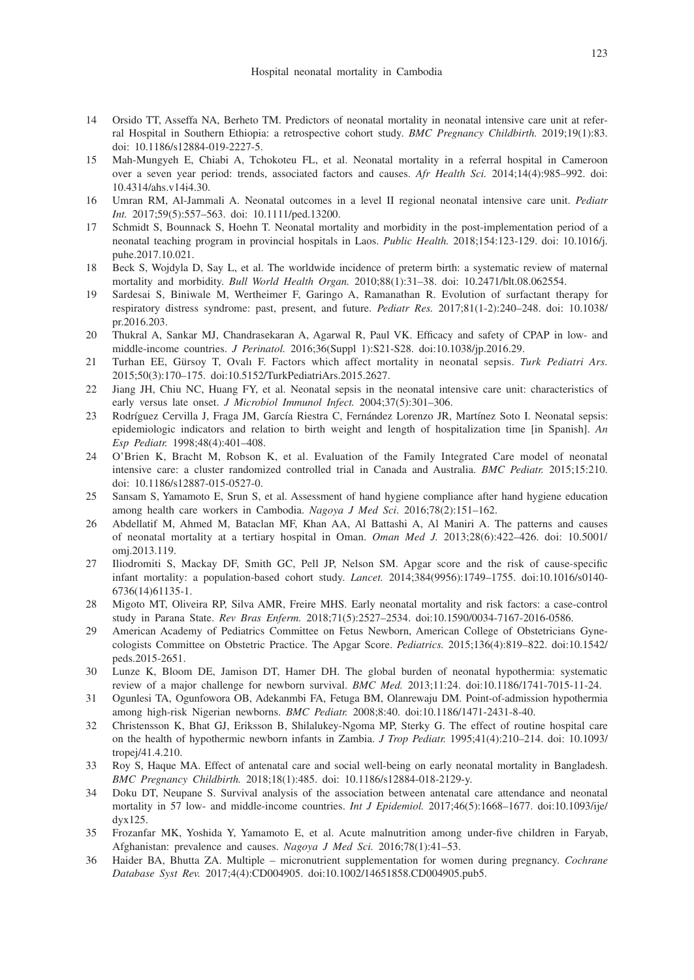- 14 Orsido TT, Asseffa NA, Berheto TM. Predictors of neonatal mortality in neonatal intensive care unit at referral Hospital in Southern Ethiopia: a retrospective cohort study. *BMC Pregnancy Childbirth.* 2019;19(1):83. doi: 10.1186/s12884-019-2227-5.
- 15 Mah-Mungyeh E, Chiabi A, Tchokoteu FL, et al. Neonatal mortality in a referral hospital in Cameroon over a seven year period: trends, associated factors and causes. *Afr Health Sci.* 2014;14(4):985–992. doi: 10.4314/ahs.v14i4.30.
- 16 Umran RM, Al-Jammali A. Neonatal outcomes in a level II regional neonatal intensive care unit. *Pediatr Int.* 2017;59(5):557–563. doi: 10.1111/ped.13200.
- 17 Schmidt S, Bounnack S, Hoehn T. Neonatal mortality and morbidity in the post-implementation period of a neonatal teaching program in provincial hospitals in Laos. *Public Health.* 2018;154:123-129. doi: 10.1016/j. puhe.2017.10.021.
- 18 Beck S, Wojdyla D, Say L, et al. The worldwide incidence of preterm birth: a systematic review of maternal mortality and morbidity. *Bull World Health Organ.* 2010;88(1):31–38. doi: 10.2471/blt.08.062554.
- 19 Sardesai S, Biniwale M, Wertheimer F, Garingo A, Ramanathan R. Evolution of surfactant therapy for respiratory distress syndrome: past, present, and future. *Pediatr Res.* 2017;81(1-2):240–248. doi: 10.1038/ pr.2016.203.
- 20 Thukral A, Sankar MJ, Chandrasekaran A, Agarwal R, Paul VK. Efficacy and safety of CPAP in low- and middle-income countries. *J Perinatol.* 2016;36(Suppl 1):S21-S28. doi:10.1038/jp.2016.29.
- 21 Turhan EE, Gürsoy T, Ovalı F. Factors which affect mortality in neonatal sepsis. *Turk Pediatri Ars.* 2015;50(3):170–175. doi:10.5152/TurkPediatriArs.2015.2627.
- 22 Jiang JH, Chiu NC, Huang FY, et al. Neonatal sepsis in the neonatal intensive care unit: characteristics of early versus late onset. *J Microbiol Immunol Infect.* 2004;37(5):301–306.
- 23 Rodríguez Cervilla J, Fraga JM, García Riestra C, Fernández Lorenzo JR, Martínez Soto I. Neonatal sepsis: epidemiologic indicators and relation to birth weight and length of hospitalization time [in Spanish]. *An Esp Pediatr.* 1998;48(4):401–408.
- 24 O'Brien K, Bracht M, Robson K, et al. Evaluation of the Family Integrated Care model of neonatal intensive care: a cluster randomized controlled trial in Canada and Australia. *BMC Pediatr.* 2015;15:210. doi: 10.1186/s12887-015-0527-0.
- 25 Sansam S, Yamamoto E, Srun S, et al. Assessment of hand hygiene compliance after hand hygiene education among health care workers in Cambodia. *Nagoya J Med Sci*. 2016;78(2):151–162.
- 26 Abdellatif M, Ahmed M, Bataclan MF, Khan AA, Al Battashi A, Al Maniri A. The patterns and causes of neonatal mortality at a tertiary hospital in Oman. *Oman Med J.* 2013;28(6):422–426. doi: 10.5001/ omj.2013.119.
- 27 Iliodromiti S, Mackay DF, Smith GC, Pell JP, Nelson SM. Apgar score and the risk of cause-specific infant mortality: a population-based cohort study. *Lancet.* 2014;384(9956):1749–1755. doi:10.1016/s0140- 6736(14)61135-1.
- 28 Migoto MT, Oliveira RP, Silva AMR, Freire MHS. Early neonatal mortality and risk factors: a case-control study in Parana State. *Rev Bras Enferm.* 2018;71(5):2527–2534. doi:10.1590/0034-7167-2016-0586.
- 29 American Academy of Pediatrics Committee on Fetus Newborn, American College of Obstetricians Gynecologists Committee on Obstetric Practice. The Apgar Score. *Pediatrics.* 2015;136(4):819–822. doi:10.1542/ peds.2015-2651.
- 30 Lunze K, Bloom DE, Jamison DT, Hamer DH. The global burden of neonatal hypothermia: systematic review of a major challenge for newborn survival. *BMC Med.* 2013;11:24. doi:10.1186/1741-7015-11-24.
- 31 Ogunlesi TA, Ogunfowora OB, Adekanmbi FA, Fetuga BM, Olanrewaju DM. Point-of-admission hypothermia among high-risk Nigerian newborns. *BMC Pediatr.* 2008;8:40. doi:10.1186/1471-2431-8-40.
- 32 Christensson K, Bhat GJ, Eriksson B, Shilalukey-Ngoma MP, Sterky G. The effect of routine hospital care on the health of hypothermic newborn infants in Zambia. *J Trop Pediatr.* 1995;41(4):210–214. doi: 10.1093/ tropej/41.4.210.
- 33 Roy S, Haque MA. Effect of antenatal care and social well-being on early neonatal mortality in Bangladesh. *BMC Pregnancy Childbirth.* 2018;18(1):485. doi: 10.1186/s12884-018-2129-y.
- 34 Doku DT, Neupane S. Survival analysis of the association between antenatal care attendance and neonatal mortality in 57 low- and middle-income countries. *Int J Epidemiol.* 2017;46(5):1668-1677. doi:10.1093/ije/ dyx125.
- 35 Frozanfar MK, Yoshida Y, Yamamoto E, et al. Acute malnutrition among under-five children in Faryab, Afghanistan: prevalence and causes. *Nagoya J Med Sci.* 2016;78(1):41–53.
- 36 Haider BA, Bhutta ZA. Multiple micronutrient supplementation for women during pregnancy. *Cochrane Database Syst Rev.* 2017;4(4):CD004905. doi:10.1002/14651858.CD004905.pub5.